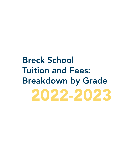## Breck School Tuition and Fees: Breakdown by Grade 2022-2023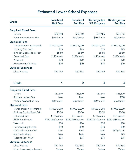## Estimated Lower School Expenses

| Grade                          | Preschool<br><b>Half Day</b> | Preschool<br><b>Full Day</b> | Kindergarten<br>3/2 Program | Kindergarten<br><b>Full Day</b> |
|--------------------------------|------------------------------|------------------------------|-----------------------------|---------------------------------|
| <b>Required Fixed Fees</b>     |                              |                              |                             |                                 |
| Tuition                        | \$22,890                     | \$29,750                     | \$29,485                    | \$30,735                        |
| <b>Parents Association Fee</b> | \$50/family                  | \$50/family                  | \$50/family                 | \$50/family                     |
| <b>Optional Fees</b>           |                              |                              |                             |                                 |
| Transportation (estimated)     | \$1,000-3,000                | \$1,000-3,000                | \$1,000-3,000               | \$1,000-3,000                   |
| Tutoring (per hour)            | \$75                         | \$75                         | \$75                        | \$75                            |
| Birthday Books/Book Fair       | $$5-50$                      | $$5-50$                      | $$5-50$                     | $$5-50$                         |
| <b>Extended Day</b>            | \$125/week                   | \$125/week                   | \$125/week                  | \$125/week                      |
| Yearbook                       | \$70                         | \$70                         | \$70                        | \$70                            |
| Homecoming T-shirts            | \$10                         | \$10                         | \$10                        | \$10                            |
| <b>Outside Expenses</b>        |                              |                              |                             |                                 |
| <b>Class Pictures</b>          | \$30-155                     | \$30-155                     | \$30-155                    | \$30-155                        |
| <b>Grade</b>                   | 1                            | $\overline{2}$               | 3                           | 4                               |
| <b>Required Fixed Fees</b>     |                              |                              |                             |                                 |
| Tuition                        | \$33,500                     | \$33,500                     | \$33,500                    | \$33,500                        |
| Student Laptop Fee             | N/A                          | N/A                          | N/A                         | \$300                           |
| <b>Parents Association Fee</b> | \$50/family                  | \$50/family                  | \$50/family                 | \$50/family                     |
| <b>Optional Fees</b>           |                              |                              |                             |                                 |
| Transportation (estimated)     | \$1,000-3,000                | \$1,000-3,000                | \$1,000-3,000               | \$1,000-3,000                   |
| Birthday Books/Book Fair       | $$5-50$                      | $$5 - 50$                    | $$5-50$                     | $$5-50$                         |
| <b>Extended Day</b>            | \$125/week                   | \$125/week                   | \$125/week                  | \$125/week                      |
| <b>BASE Enrichment</b>         | \$220-250/course             | \$220-250/course             | \$220-250/course            | \$220-250/course                |
| Yearbook                       | \$70                         | \$70                         | \$70                        | \$70                            |
| Homecoming T-shirts            | \$10                         | \$10                         | \$10                        | \$10                            |
| 4th Grade Graduation           | N/A                          | N/A                          | N/A                         | \$20/person                     |
| 4th Grade Video                | N/A                          | N/A                          | N/A                         | \$25                            |
| Tutoring (per hour)            | \$75                         | \$75                         | \$75                        | \$75                            |
| <b>Outside Expenses</b>        |                              |                              |                             |                                 |
| <b>Class Pictures</b>          | \$30-155                     | \$30-155                     | \$30-155                    | \$30-155                        |
| Music Lessons (per lesson)     | Varies                       | Varies                       | Varies                      | Varies                          |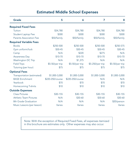## Estimated Middle School Expenses

| Grade                         | 5                | 6                | 7                | 8                |
|-------------------------------|------------------|------------------|------------------|------------------|
| <b>Required Fixed Fees</b>    |                  |                  |                  |                  |
| Tuition                       | \$34,780         | \$34,780         | \$34,780         | \$34,780         |
| Student Laptop Fee            | \$300            | \$300            | \$300            | \$300            |
| Parents Association Fee       | \$50/family      | \$50/family      | \$50/family      | \$50/family      |
| <b>Required Variable Fees</b> |                  |                  |                  |                  |
| <b>Books</b>                  | \$250-500        | \$250-500        | \$250-500        | \$250-575        |
| Gym uniform/lock              | \$30-45          | $$30-45$         | \$30-45          | \$30-45          |
| Camp                          | N/A              | \$220            | \$275            | N/A              |
| <b>Awareness Day</b>          | $$10-70$         | \$10-70          | \$10-70          | \$10-70          |
| Washington DC Trip            | N/A              | \$1,375          | N/A              | N/A              |
| <b>Field Trips</b>            | \$5-50/per trip  | \$5-50/per trip  | \$5-250/per trip | $$5-50/per trip$ |
| Tutoring (per hour)           | \$75             | \$75             | \$75             | \$75             |
| <b>Optional Fees</b>          |                  |                  |                  |                  |
| Transportation (estimated)    | \$1,000-3,000    | \$1,000-3,000    | \$1,000-3,000    | \$1,000-3,000    |
| <b>BASE Enrichment</b>        | \$220-250/course | \$220-250/course | N/A              | N/A              |
| Yearbook                      | \$70             | \$70             | \$70             | \$70             |
| Homecoming T-shirts           | \$10             | \$10             | \$10             | \$10             |
| <b>Outside Expenses</b>       |                  |                  |                  |                  |
| <b>Class Pictures</b>         | \$30-155         | \$30-155         | \$30-155         | \$30-155         |
| <b>Athletic Team Pictures</b> | N/A              | \$30-60          | \$30-60          | \$30-60          |
| 8th Grade Graduation          | N/A              | N/A              | N/A              | \$20/person      |
| Music Lessons (per lesson)    | Varies           | Varies           | Varies           | Varies           |

Note: With the exception of Required Fixed Fees, all expenses itemized in this brochure are estimates only. Other expenses may also occur.